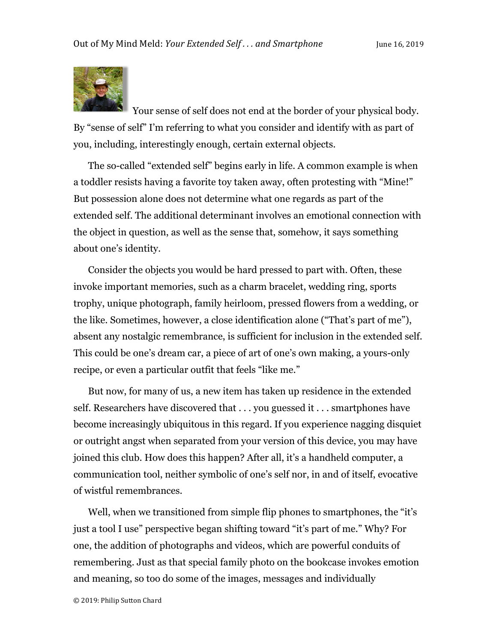

Your sense of self does not end at the border of your physical body. By "sense of self" I'm referring to what you consider and identify with as part of you, including, interestingly enough, certain external objects.

The so-called "extended self" begins early in life. A common example is when a toddler resists having a favorite toy taken away, often protesting with "Mine!" But possession alone does not determine what one regards as part of the extended self. The additional determinant involves an emotional connection with the object in question, as well as the sense that, somehow, it says something about one's identity.

Consider the objects you would be hard pressed to part with. Often, these invoke important memories, such as a charm bracelet, wedding ring, sports trophy, unique photograph, family heirloom, pressed flowers from a wedding, or the like. Sometimes, however, a close identification alone ("That's part of me"), absent any nostalgic remembrance, is sufficient for inclusion in the extended self. This could be one's dream car, a piece of art of one's own making, a yours-only recipe, or even a particular outfit that feels "like me."

But now, for many of us, a new item has taken up residence in the extended self. Researchers have discovered that . . . you guessed it . . . smartphones have become increasingly ubiquitous in this regard. If you experience nagging disquiet or outright angst when separated from your version of this device, you may have joined this club. How does this happen? After all, it's a handheld computer, a communication tool, neither symbolic of one's self nor, in and of itself, evocative of wistful remembrances.

Well, when we transitioned from simple flip phones to smartphones, the "it's just a tool I use" perspective began shifting toward "it's part of me." Why? For one, the addition of photographs and videos, which are powerful conduits of remembering. Just as that special family photo on the bookcase invokes emotion and meaning, so too do some of the images, messages and individually